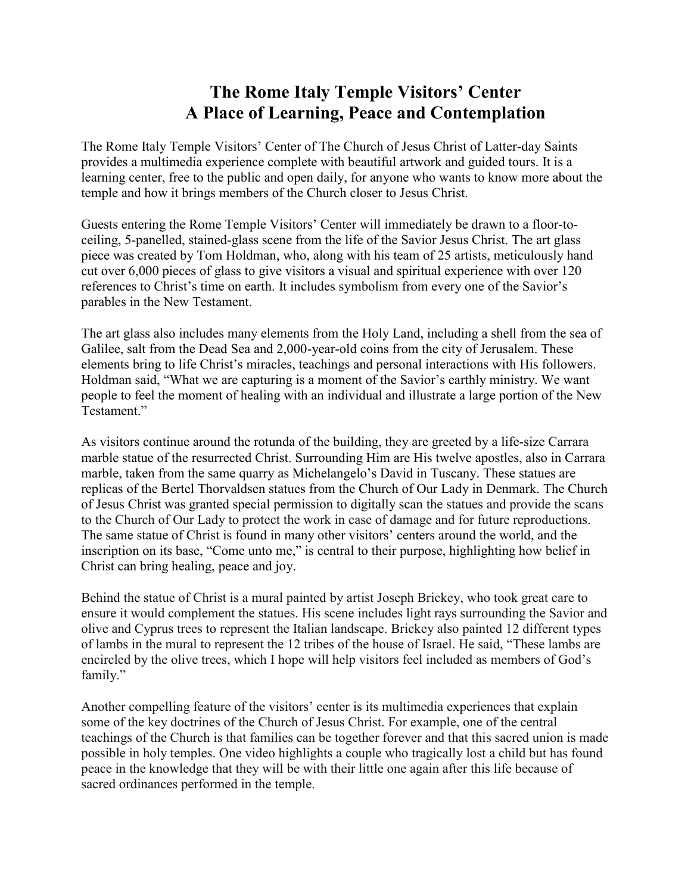## **The Rome Italy Temple Visitors' Center A Place of Learning, Peace and Contemplation**

The Rome Italy Temple Visitors' Center of The Church of Jesus Christ of Latter-day Saints provides a multimedia experience complete with beautiful artwork and guided tours. It is a learning center, free to the public and open daily, for anyone who wants to know more about the temple and how it brings members of the Church closer to Jesus Christ.

Guests entering the Rome Temple Visitors' Center will immediately be drawn to a floor-toceiling, 5-panelled, stained-glass scene from the life of the Savior Jesus Christ. The art glass piece was created by Tom Holdman, who, along with his team of 25 artists, meticulously hand cut over 6,000 pieces of glass to give visitors a visual and spiritual experience with over 120 references to Christ's time on earth. It includes symbolism from every one of the Savior's parables in the New Testament.

The art glass also includes many elements from the Holy Land, including a shell from the sea of Galilee, salt from the Dead Sea and 2,000-year-old coins from the city of Jerusalem. These elements bring to life Christ's miracles, teachings and personal interactions with His followers. Holdman said, "What we are capturing is a moment of the Savior's earthly ministry. We want people to feel the moment of healing with an individual and illustrate a large portion of the New Testament."

As visitors continue around the rotunda of the building, they are greeted by a life-size Carrara marble statue of the resurrected Christ. Surrounding Him are His twelve apostles, also in Carrara marble, taken from the same quarry as Michelangelo's David in Tuscany. These statues are replicas of the Bertel Thorvaldsen statues from the Church of Our Lady in Denmark. The Church of Jesus Christ was granted special permission to digitally scan the statues and provide the scans to the Church of Our Lady to protect the work in case of damage and for future reproductions. The same statue of Christ is found in many other visitors' centers around the world, and the inscription on its base, "Come unto me," is central to their purpose, highlighting how belief in Christ can bring healing, peace and joy.

Behind the statue of Christ is a mural painted by artist Joseph Brickey, who took great care to ensure it would complement the statues. His scene includes light rays surrounding the Savior and olive and Cyprus trees to represent the Italian landscape. Brickey also painted 12 different types of lambs in the mural to represent the 12 tribes of the house of Israel. He said, "These lambs are encircled by the olive trees, which I hope will help visitors feel included as members of God's family."

Another compelling feature of the visitors' center is its multimedia experiences that explain some of the key doctrines of the Church of Jesus Christ. For example, one of the central teachings of the Church is that families can be together forever and that this sacred union is made possible in holy temples. One video highlights a couple who tragically lost a child but has found peace in the knowledge that they will be with their little one again after this life because of sacred ordinances performed in the temple.